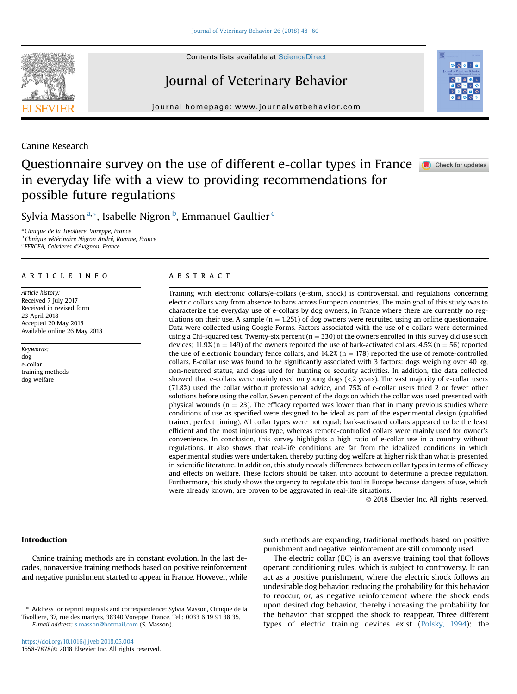**Contents lists available at ScienceDirect** 

# Journal of Veterinary Behavior

journal homepage: [www.journalvetbehavior.com](http://www.journalvetbehavior.com)

Canine Research

# Questionnaire survey on the use of different e-collar types in France in everyday life with a view to providing recommendations for possible future regulations

Sylvia Masson <sup>a,</sup>\*, Isabelle Nigron <sup>b</sup>, Emmanuel Gaultier <sup>c</sup>

<sup>a</sup> Clinique de la Tivolliere, Voreppe, France

<sup>b</sup> Clinique vétérinaire Nigron André, Roanne, France

<sup>c</sup> FERCEA, Cabrieres d'Avignon, France

#### article info

Article history: Received 7 July 2017 Received in revised form 23 April 2018 Accepted 20 May 2018 Available online 26 May 2018

Keywords: dog e-collar training methods dog welfare

#### **ABSTRACT**

Training with electronic collars/e-collars (e-stim, shock) is controversial, and regulations concerning electric collars vary from absence to bans across European countries. The main goal of this study was to characterize the everyday use of e-collars by dog owners, in France where there are currently no regulations on their use. A sample ( $n = 1,251$ ) of dog owners were recruited using an online questionnaire. Data were collected using Google Forms. Factors associated with the use of e-collars were determined using a Chi-squared test. Twenty-six percent ( $n = 330$ ) of the owners enrolled in this survey did use such devices; 11.9% (n = 149) of the owners reported the use of bark-activated collars,  $4.5\%$  (n = 56) reported the use of electronic boundary fence collars, and  $14.2\%$  (n = 178) reported the use of remote-controlled collars. E-collar use was found to be significantly associated with 3 factors: dogs weighing over 40 kg, non-neutered status, and dogs used for hunting or security activities. In addition, the data collected showed that e-collars were mainly used on young dogs  $\langle$  <2 years). The vast majority of e-collar users (71.8%) used the collar without professional advice, and 75% of e-collar users tried 2 or fewer other solutions before using the collar. Seven percent of the dogs on which the collar was used presented with physical wounds ( $n = 23$ ). The efficacy reported was lower than that in many previous studies where conditions of use as specified were designed to be ideal as part of the experimental design (qualified trainer, perfect timing). All collar types were not equal: bark-activated collars appeared to be the least efficient and the most injurious type, whereas remote-controlled collars were mainly used for owner's convenience. In conclusion, this survey highlights a high ratio of e-collar use in a country without regulations. It also shows that real-life conditions are far from the idealized conditions in which experimental studies were undertaken, thereby putting dog welfare at higher risk than what is presented in scientific literature. In addition, this study reveals differences between collar types in terms of efficacy and effects on welfare. These factors should be taken into account to determine a precise regulation. Furthermore, this study shows the urgency to regulate this tool in Europe because dangers of use, which were already known, are proven to be aggravated in real-life situations.

2018 Elsevier Inc. All rights reserved.

# Introduction

Canine training methods are in constant evolution. In the last decades, nonaversive training methods based on positive reinforcement and negative punishment started to appear in France. However, while

such methods are expanding, traditional methods based on positive punishment and negative reinforcement are still commonly used.

The electric collar (EC) is an aversive training tool that follows operant conditioning rules, which is subject to controversy. It can act as a positive punishment, where the electric shock follows an undesirable dog behavior, reducing the probability for this behavior to reoccur, or, as negative reinforcement where the shock ends upon desired dog behavior, thereby increasing the probability for the behavior that stopped the shock to reappear. Three different types of electric training devices exist [\(Polsky, 1994](#page-11-0)): the







<sup>\*</sup> Address for reprint requests and correspondence: Sylvia Masson, Clinique de la Tivolliere, 37, rue des martyrs, 38340 Voreppe, France. Tel.: 0033 6 19 91 38 35. E-mail address: [s.masson@hotmail.com](mailto:s.masson@hotmail.com) (S. Masson).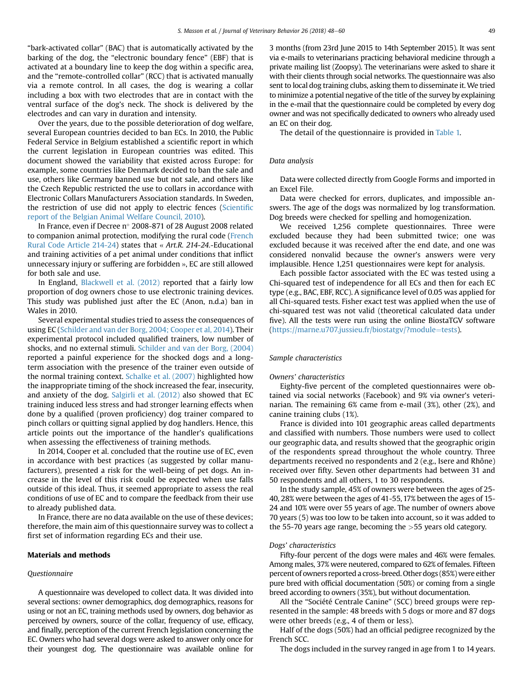"bark-activated collar" (BAC) that is automatically activated by the barking of the dog, the "electronic boundary fence" (EBF) that is activated at a boundary line to keep the dog within a specific area, and the "remote-controlled collar" (RCC) that is activated manually via a remote control. In all cases, the dog is wearing a collar including a box with two electrodes that are in contact with the ventral surface of the dog's neck. The shock is delivered by the electrodes and can vary in duration and intensity.

Over the years, due to the possible deterioration of dog welfare, several European countries decided to ban ECs. In 2010, the Public Federal Service in Belgium established a scientific report in which the current legislation in European countries was edited. This document showed the variability that existed across Europe: for example, some countries like Denmark decided to ban the sale and use, others like Germany banned use but not sale, and others like the Czech Republic restricted the use to collars in accordance with Electronic Collars Manufacturers Association standards. In Sweden, the restriction of use did not apply to electric fences [\(Scienti](#page-12-0)fic [report of the Belgian Animal Welfare Council, 2010\)](#page-12-0).

In France, even if Decree n $^{\circ}$  2008-871 of 28 August 2008 related to companion animal protection, modifying the rural code ([French](#page-12-0) [Rural Code Article 214-24](#page-12-0)) states that « Art.R. 214-24.-Educational and training activities of a pet animal under conditions that inflict unnecessary injury or suffering are forbidden », EC are still allowed for both sale and use.

In England, [Blackwell et al. \(2012\)](#page-11-0) reported that a fairly low proportion of dog owners chose to use electronic training devices. This study was published just after the EC (Anon, n.d.a) ban in Wales in 2010.

Several experimental studies tried to assess the consequences of using EC [\(Schilder and van der Borg, 2004; Cooper et al, 2014](#page-11-0)). Their experimental protocol included qualified trainers, low number of shocks, and no external stimuli. [Schilder and van der Borg, \(2004\)](#page-11-0) reported a painful experience for the shocked dogs and a longterm association with the presence of the trainer even outside of the normal training context. [Schalke et al. \(2007\)](#page-11-0) highlighted how the inappropriate timing of the shock increased the fear, insecurity, and anxiety of the dog. [Salgirli et al. \(2012\)](#page-11-0) also showed that EC training induced less stress and had stronger learning effects when done by a qualified (proven proficiency) dog trainer compared to pinch collars or quitting signal applied by dog handlers. Hence, this article points out the importance of the handler's qualifications when assessing the effectiveness of training methods.

In 2014, Cooper et al. concluded that the routine use of EC, even in accordance with best practices (as suggested by collar manufacturers), presented a risk for the well-being of pet dogs. An increase in the level of this risk could be expected when use falls outside of this ideal. Thus, it seemed appropriate to assess the real conditions of use of EC and to compare the feedback from their use to already published data.

In France, there are no data available on the use of these devices; therefore, the main aim of this questionnaire survey was to collect a first set of information regarding ECs and their use.

#### Materials and methods

#### Questionnaire

A questionnaire was developed to collect data. It was divided into several sections: owner demographics, dog demographics, reasons for using or not an EC, training methods used by owners, dog behavior as perceived by owners, source of the collar, frequency of use, efficacy, and finally, perception of the current French legislation concerning the EC. Owners who had several dogs were asked to answer only once for their youngest dog. The questionnaire was available online for

3 months (from 23rd June 2015 to 14th September 2015). It was sent via e-mails to veterinarians practicing behavioral medicine through a private mailing list (Zoopsy). The veterinarians were asked to share it with their clients through social networks. The questionnaire was also sent to local dog training clubs, asking them to disseminate it. We tried to minimize a potential negative of the title of the survey by explaining in the e-mail that the questionnaire could be completed by every dog owner and was not specifically dedicated to owners who already used an EC on their dog.

The detail of the questionnaire is provided in [Table 1.](#page-2-0)

#### Data analysis

Data were collected directly from Google Forms and imported in an Excel File.

Data were checked for errors, duplicates, and impossible answers. The age of the dogs was normalized by log transformation. Dog breeds were checked for spelling and homogenization.

We received 1,256 complete questionnaires. Three were excluded because they had been submitted twice; one was excluded because it was received after the end date, and one was considered nonvalid because the owner's answers were very implausible. Hence 1,251 questionnaires were kept for analysis.

Each possible factor associated with the EC was tested using a Chi-squared test of independence for all ECs and then for each EC type (e.g., BAC, EBF, RCC). A significance level of 0.05 was applied for all Chi-squared tests. Fisher exact test was applied when the use of chi-squared test was not valid (theoretical calculated data under five). All the tests were run using the online BiostaTGV software [\(https://marne.u707.jussieu.fr/biostatgv/?module](https://marne.u707.jussieu.fr/biostatgv/?module=tests)=[tests\)](https://marne.u707.jussieu.fr/biostatgv/?module=tests).

#### Sample characteristics

#### Owners' characteristics

Eighty-five percent of the completed questionnaires were obtained via social networks (Facebook) and 9% via owner's veterinarian. The remaining 6% came from e-mail (3%), other (2%), and canine training clubs (1%).

France is divided into 101 geographic areas called departments and classified with numbers. Those numbers were used to collect our geographic data, and results showed that the geographic origin of the respondents spread throughout the whole country. Three departments received no respondents and 2 (e.g., Isere and Rhône) received over fifty. Seven other departments had between 31 and 50 respondents and all others, 1 to 30 respondents.

In the study sample, 45% of owners were between the ages of 25- 40, 28% were between the ages of 41-55, 17% between the ages of 15- 24 and 10% were over 55 years of age. The number of owners above 70 years (5) was too low to be taken into account, so it was added to the 55-70 years age range, becoming the  $>$ 55 years old category.

#### Dogs' characteristics

Fifty-four percent of the dogs were males and 46% were females. Among males, 37% were neutered, compared to 62% of females. Fifteen percent of owners reported a cross-breed. Other dogs (85%) were either pure bred with official documentation (50%) or coming from a single breed according to owners (35%), but without documentation.

All the "Société Centrale Canine" (SCC) breed groups were represented in the sample: 48 breeds with 5 dogs or more and 87 dogs were other breeds (e.g., 4 of them or less).

Half of the dogs (50%) had an official pedigree recognized by the French SCC.

The dogs included in the survey ranged in age from 1 to 14 years.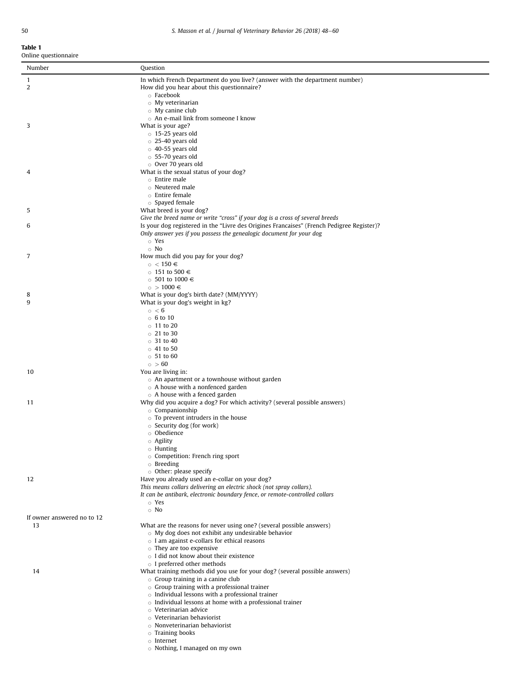<span id="page-2-0"></span>

| Number                     | Question                                                                                                                         |  |  |
|----------------------------|----------------------------------------------------------------------------------------------------------------------------------|--|--|
| 1                          | In which French Department do you live? (answer with the department number)                                                      |  |  |
| 2                          | How did you hear about this questionnaire?                                                                                       |  |  |
|                            | $\circ$ Facebook<br>$\circ$ My veterinarian                                                                                      |  |  |
|                            | $\circ$ My canine club                                                                                                           |  |  |
|                            | $\circ$ An e-mail link from someone I know                                                                                       |  |  |
| 3                          | What is your age?                                                                                                                |  |  |
|                            | $\circ$ 15-25 years old<br>$\circ$ 25-40 years old                                                                               |  |  |
|                            | $\circ$ 40-55 years old                                                                                                          |  |  |
|                            | $\circ$ 55-70 years old                                                                                                          |  |  |
| 4                          | $\circ$ Over 70 years old                                                                                                        |  |  |
|                            | What is the sexual status of your dog?<br>$\circ$ Entire male                                                                    |  |  |
|                            | $\circ$ Neutered male                                                                                                            |  |  |
|                            | $\circ$ Entire female                                                                                                            |  |  |
| 5                          | $\circ$ Spayed female<br>What breed is your dog?                                                                                 |  |  |
|                            | Give the breed name or write "cross" if your dog is a cross of several breeds                                                    |  |  |
| 6                          | Is your dog registered in the "Livre des Origines Francaises" (French Pedigree Register)?                                        |  |  |
|                            | Only answer yes if you possess the genealogic document for your dog                                                              |  |  |
|                            | $\circ$ Yes<br>$\circ$ No                                                                                                        |  |  |
| 7                          | How much did you pay for your dog?                                                                                               |  |  |
|                            | $\circ$ < 150 €                                                                                                                  |  |  |
|                            | ○ 151 to 500 $\in$                                                                                                               |  |  |
|                            | ○ 501 to 1000 $\in$<br>$\circ$ > 1000 €                                                                                          |  |  |
| 8                          | What is your dog's birth date? (MM/YYYY)                                                                                         |  |  |
| 9                          | What is your dog's weight in kg?                                                                                                 |  |  |
|                            | $\circ$ < 6<br>$\circ$ 6 to 10                                                                                                   |  |  |
|                            | $\circ$ 11 to 20                                                                                                                 |  |  |
|                            | $\circ$ 21 to 30                                                                                                                 |  |  |
|                            | $\circ$ 31 to 40                                                                                                                 |  |  |
|                            | $\circ$ 41 to 50<br>$\circ$ 51 to 60                                                                                             |  |  |
|                            | $\circ$ > 60                                                                                                                     |  |  |
| 10                         | You are living in:                                                                                                               |  |  |
|                            | $\circ$ An apartment or a townhouse without garden                                                                               |  |  |
|                            | $\circ$ A house with a nonfenced garden<br>$\circ$ A house with a fenced garden                                                  |  |  |
| 11                         | Why did you acquire a dog? For which activity? (several possible answers)                                                        |  |  |
|                            | $\circ$ Companionship                                                                                                            |  |  |
|                            | $\circ$ To prevent intruders in the house                                                                                        |  |  |
|                            | $\circ$ Security dog (for work)<br>o Obedience                                                                                   |  |  |
|                            | ○ Agility                                                                                                                        |  |  |
|                            | $\circ$ Hunting                                                                                                                  |  |  |
|                            | $\circ$ Competition: French ring sport<br>$\circ$ Breeding                                                                       |  |  |
|                            | $\circ$ Other: please specify                                                                                                    |  |  |
| 12                         | Have you already used an e-collar on your dog?                                                                                   |  |  |
|                            | This means collars delivering an electric shock (not spray collars).                                                             |  |  |
|                            | It can be antibark, electronic boundary fence, or remote-controlled collars<br>$\circ$ Yes                                       |  |  |
|                            | $\circ$ No                                                                                                                       |  |  |
| If owner answered no to 12 |                                                                                                                                  |  |  |
| 13                         | What are the reasons for never using one? (several possible answers)<br>$\circ$ My dog does not exhibit any undesirable behavior |  |  |
|                            | $\circ$ I am against e-collars for ethical reasons                                                                               |  |  |
|                            | $\circ$ They are too expensive                                                                                                   |  |  |
|                            | $\circ$ I did not know about their existence                                                                                     |  |  |
| 14                         | $\circ$ I preferred other methods<br>What training methods did you use for your dog? (several possible answers)                  |  |  |
|                            | $\circ$ Group training in a canine club                                                                                          |  |  |
|                            | $\circ$ Group training with a professional trainer                                                                               |  |  |
|                            | $\circ$ Individual lessons with a professional trainer                                                                           |  |  |
|                            | $\circ$ Individual lessons at home with a professional trainer<br>$\circ$ Veterinarian advice                                    |  |  |
|                            | $\circ$ Veterinarian behaviorist                                                                                                 |  |  |
|                            | $\circ$ Nonveterinarian behaviorist                                                                                              |  |  |
|                            | $\circ$ Training books<br>$\circ$ Internet                                                                                       |  |  |
|                            | $\circ$ Nothing, I managed on my own                                                                                             |  |  |
|                            |                                                                                                                                  |  |  |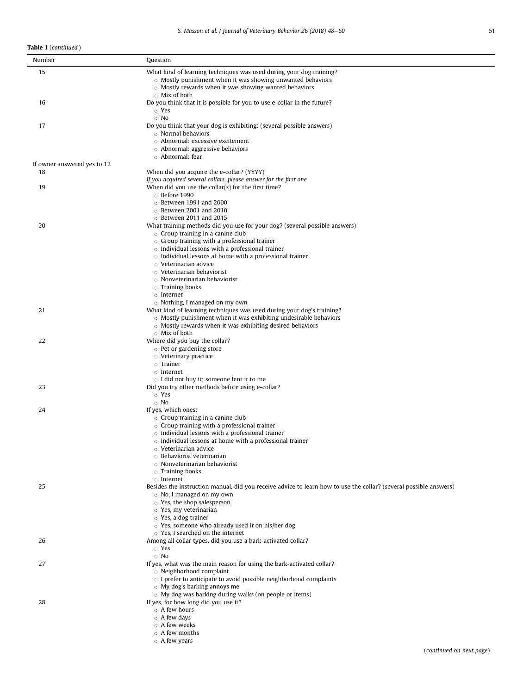$\circ$  Mostly punishment when it was showing unwanted behaviors

15 What kind of learning techniques was used during your dog training?

Table 1 (continued )

Number Question

|                             | $\circ$ Mostly rewards when it was showing wanted behaviors<br>$\circ$ Mix of both                                       |
|-----------------------------|--------------------------------------------------------------------------------------------------------------------------|
| 16                          | Do you think that it is possible for you to use e-collar in the future?                                                  |
|                             | $\circ$ Yes                                                                                                              |
|                             | $\circ$ No                                                                                                               |
| 17                          | Do you think that your dog is exhibiting: (several possible answers)                                                     |
|                             | $\circ$ Normal behaviors                                                                                                 |
|                             | $\circ$ Abnormal: excessive excitement                                                                                   |
|                             | $\circ$ Abnormal: aggressive behaviors                                                                                   |
|                             | $\circ$ Abnormal: fear                                                                                                   |
| If owner answered yes to 12 |                                                                                                                          |
| 18                          | When did you acquire the e-collar? (YYYY)<br>If you acquired several collars, please answer for the first one            |
| 19                          | When did you use the collar(s) for the first time?                                                                       |
|                             | $\circ$ Before 1990                                                                                                      |
|                             | $\circ$ Between 1991 and 2000                                                                                            |
|                             | $\circ$ Between 2001 and 2010                                                                                            |
|                             | $\circ$ Between 2011 and 2015                                                                                            |
| 20                          | What training methods did you use for your dog? (several possible answers)                                               |
|                             | $\circ$ Group training in a canine club                                                                                  |
|                             | $\circ$ Group training with a professional trainer<br>$\circ$ Individual lessons with a professional trainer             |
|                             | $\circ$ Individual lessons at home with a professional trainer                                                           |
|                             | $\circ$ Veterinarian advice                                                                                              |
|                             | $\circ$ Veterinarian behaviorist                                                                                         |
|                             | $\circ$ Nonveterinarian behaviorist                                                                                      |
|                             | $\circ$ Training books                                                                                                   |
|                             | $\circ$ Internet                                                                                                         |
| 21                          | $\circ$ Nothing, I managed on my own<br>What kind of learning techniques was used during your dog's training?            |
|                             | $\circ$ Mostly punishment when it was exhibiting undesirable behaviors                                                   |
|                             | $\circ$ Mostly rewards when it was exhibiting desired behaviors                                                          |
|                             | $\circ$ Mix of both                                                                                                      |
| 22                          | Where did you buy the collar?                                                                                            |
|                             | $\circ$ Pet or gardening store                                                                                           |
|                             | $\circ$ Veterinary practice                                                                                              |
|                             | $\circ$ Trainer                                                                                                          |
|                             | $\circ$ Internet<br>$\circ$ I did not buy it; someone lent it to me                                                      |
| 23                          | Did you try other methods before using e-collar?                                                                         |
|                             | ⊙ Yes                                                                                                                    |
|                             | $\circ$ No                                                                                                               |
| 24                          | If yes, which ones:                                                                                                      |
|                             | $\circ$ Group training in a canine club                                                                                  |
|                             | $\circ$ Group training with a professional trainer                                                                       |
|                             | $\circ$ Individual lessons with a professional trainer<br>$\circ$ Individual lessons at home with a professional trainer |
|                             | $\circ$ Veterinarian advice                                                                                              |
|                             | $\circ$ Behaviorist veterinarian                                                                                         |
|                             | $\circ$ Nonveterinarian behaviorist                                                                                      |
|                             | $\circ$ Training books                                                                                                   |
|                             | $\circ$ Internet                                                                                                         |
| 25                          | Besides the instruction manual, did you receive advice to learn how to use the collar? (several possible answers)        |
|                             | $\circ$ No, I managed on my own                                                                                          |
|                             | $\circ$ Yes, the shop salesperson<br>$\circ$ Yes, my veterinarian                                                        |
|                             | $\circ$ Yes, a dog trainer                                                                                               |
|                             | $\circ$ Yes, someone who already used it on his/her dog                                                                  |
|                             | $\circ$ Yes, I searched on the internet                                                                                  |
| 26                          | Among all collar types, did you use a bark-activated collar?                                                             |
|                             | $\circ$ Yes                                                                                                              |
|                             | $\circ~\text{No}$                                                                                                        |
| 27                          | If yes, what was the main reason for using the bark-activated collar?                                                    |
|                             | $\circ$ Neighborhood complaint<br>$\circ$ I prefer to anticipate to avoid possible neighborhood complaints               |
|                             | $\circ$ My dog's barking annoys me                                                                                       |
|                             | $\circ$ My dog was barking during walks (on people or items)                                                             |
| 28                          | If yes, for how long did you use it?                                                                                     |
|                             | $\circ$ A few hours                                                                                                      |
|                             | $\circ$ A few days                                                                                                       |
|                             | $\circ$ A few weeks                                                                                                      |
|                             | $\circ$ A few months                                                                                                     |
|                             | $\circ$ A few years                                                                                                      |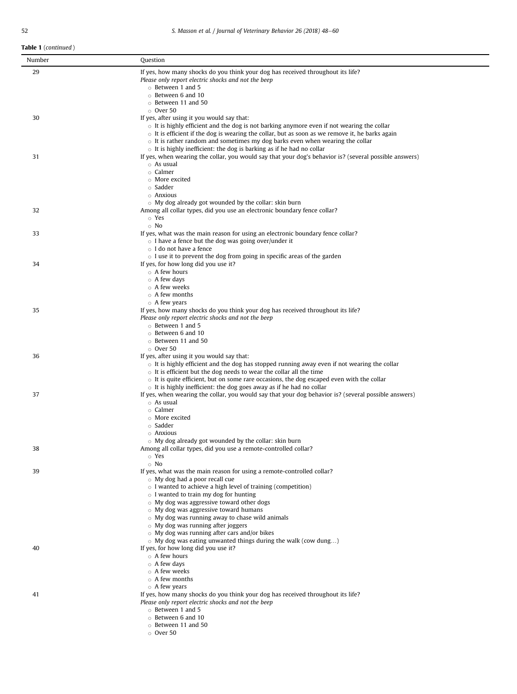Table 1 (continued )

| Number | Question                                                                                                                                                                      |
|--------|-------------------------------------------------------------------------------------------------------------------------------------------------------------------------------|
| 29     | If yes, how many shocks do you think your dog has received throughout its life?                                                                                               |
|        | Please only report electric shocks and not the beep                                                                                                                           |
|        | $\circ$ Between 1 and 5                                                                                                                                                       |
|        | $\circ$ Between 6 and 10<br>$\circ$ Between 11 and 50                                                                                                                         |
|        | $\circ$ Over 50                                                                                                                                                               |
| 30     | If yes, after using it you would say that:                                                                                                                                    |
|        | $\circ$ It is highly efficient and the dog is not barking anymore even if not wearing the collar                                                                              |
|        | $\circ$ It is efficient if the dog is wearing the collar, but as soon as we remove it, he barks again                                                                         |
|        | $\circ$ It is rather random and sometimes my dog barks even when wearing the collar<br>$\circ$ It is highly inefficient: the dog is barking as if he had no collar            |
| 31     | If yes, when wearing the collar, you would say that your dog's behavior is? (several possible answers)                                                                        |
|        | $\circ$ As usual                                                                                                                                                              |
|        | $\circ$ Calmer                                                                                                                                                                |
|        | ○ More excited                                                                                                                                                                |
|        | $\circ$ Sadder<br>$\circ$ Anxious                                                                                                                                             |
|        | $\circ$ My dog already got wounded by the collar: skin burn                                                                                                                   |
| 32     | Among all collar types, did you use an electronic boundary fence collar?                                                                                                      |
|        | ⊙ Yes                                                                                                                                                                         |
|        | $\circ$ No                                                                                                                                                                    |
| 33     | If yes, what was the main reason for using an electronic boundary fence collar?                                                                                               |
|        | $\circ$ I have a fence but the dog was going over/under it<br>$\circ$ I do not have a fence                                                                                   |
|        | $\circ$ I use it to prevent the dog from going in specific areas of the garden                                                                                                |
| 34     | If yes, for how long did you use it?                                                                                                                                          |
|        | $\circ$ A few hours                                                                                                                                                           |
|        | $\circ$ A few days<br>$\circ$ A few weeks                                                                                                                                     |
|        | $\circ$ A few months                                                                                                                                                          |
|        | $\circ$ A few years                                                                                                                                                           |
| 35     | If yes, how many shocks do you think your dog has received throughout its life?                                                                                               |
|        | Please only report electric shocks and not the beep                                                                                                                           |
|        | $\circ$ Between 1 and 5                                                                                                                                                       |
|        | $\circ$ Between 6 and 10<br>$\circ$ Between 11 and 50                                                                                                                         |
|        | $\circ$ Over 50                                                                                                                                                               |
| 36     | If yes, after using it you would say that:                                                                                                                                    |
|        | $\circ$ It is highly efficient and the dog has stopped running away even if not wearing the collar                                                                            |
|        | $\circ$ It is efficient but the dog needs to wear the collar all the time                                                                                                     |
|        | $\circ$ It is quite efficient, but on some rare occasions, the dog escaped even with the collar<br>$\circ$ It is highly inefficient: the dog goes away as if he had no collar |
| 37     | If yes, when wearing the collar, you would say that your dog behavior is? (several possible answers)                                                                          |
|        | $\circ$ As usual                                                                                                                                                              |
|        | $\circ$ Calmer                                                                                                                                                                |
|        | ○ More excited                                                                                                                                                                |
|        | $\circ$ Sadder<br>$\circ$ Anxious                                                                                                                                             |
|        | $\circ$ My dog already got wounded by the collar: skin burn                                                                                                                   |
| 38     | Among all collar types, did you use a remote-controlled collar?                                                                                                               |
|        | ⊙ Yes                                                                                                                                                                         |
|        | $\circ$ No                                                                                                                                                                    |
| 39     | If yes, what was the main reason for using a remote-controlled collar?<br>$\circ$ My dog had a poor recall cue                                                                |
|        | $\circ$ I wanted to achieve a high level of training (competition)                                                                                                            |
|        | $\circ$ I wanted to train my dog for hunting                                                                                                                                  |
|        | $\circ$ My dog was aggressive toward other dogs                                                                                                                               |
|        | $\circ$ My dog was aggressive toward humans                                                                                                                                   |
|        | $\circ$ My dog was running away to chase wild animals<br>$\circ$ My dog was running after joggers                                                                             |
|        | $\circ$ My dog was running after cars and/or bikes                                                                                                                            |
|        | $\circ$ My dog was eating unwanted things during the walk (cow dung)                                                                                                          |
| 40     | If yes, for how long did you use it?                                                                                                                                          |
|        | $\circ$ A few hours                                                                                                                                                           |
|        | $\circ$ A few days                                                                                                                                                            |
|        | $\circ$ A few weeks<br>$\circ$ A few months                                                                                                                                   |
|        | $\circ$ A few years                                                                                                                                                           |
| 41     | If yes, how many shocks do you think your dog has received throughout its life?                                                                                               |
|        | Please only report electric shocks and not the beep                                                                                                                           |
|        | $\circ$ Between 1 and 5                                                                                                                                                       |
|        | $\circ$ Between 6 and 10                                                                                                                                                      |
|        | $\circ$ Between 11 and 50<br>$\circ$ Over 50                                                                                                                                  |
|        |                                                                                                                                                                               |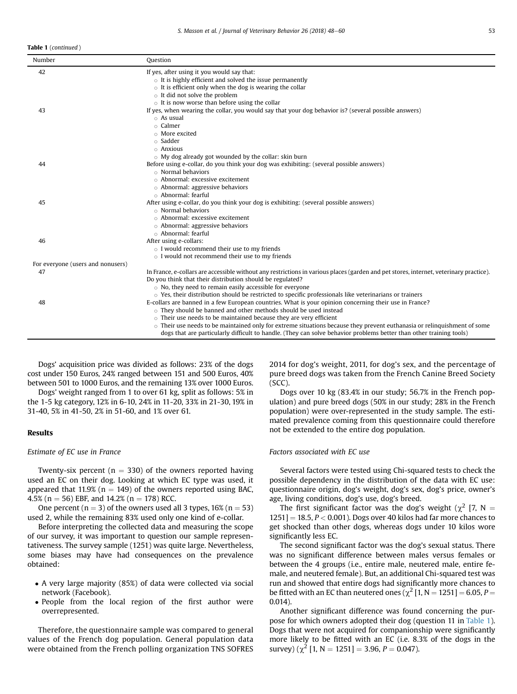#### Table 1 (continued )

| Number                            | <b>Question</b>                                                                                                                                                                                                                                                                                                                                                                                                                                                                                                       |
|-----------------------------------|-----------------------------------------------------------------------------------------------------------------------------------------------------------------------------------------------------------------------------------------------------------------------------------------------------------------------------------------------------------------------------------------------------------------------------------------------------------------------------------------------------------------------|
| 42                                | If yes, after using it you would say that:<br>$\circ$ It is highly efficient and solved the issue permanently<br>$\circ$ It is efficient only when the dog is wearing the collar<br>$\circ$ It did not solve the problem<br>$\circ$ It is now worse than before using the collar                                                                                                                                                                                                                                      |
| 43                                | If yes, when wearing the collar, you would say that your dog behavior is? (several possible answers)<br>$\circ$ As usual<br>$\circ$ Calmer<br>$\circ$ More excited<br>$\circ$ Sadder                                                                                                                                                                                                                                                                                                                                  |
| 44                                | $\circ$ Anxious<br>$\circ$ My dog already got wounded by the collar: skin burn<br>Before using e-collar, do you think your dog was exhibiting: (several possible answers)<br>$\circ$ Normal behaviors<br>$\circ$ Abnormal: excessive excitement<br>$\circ$ Abnormal: aggressive behaviors                                                                                                                                                                                                                             |
| 45                                | $\circ$ Abnormal: fearful<br>After using e-collar, do you think your dog is exhibiting: (several possible answers)<br>$\circ$ Normal behaviors<br>$\circ$ Abnormal: excessive excitement<br>$\circ$ Abnormal: aggressive behaviors<br>$\circ$ Abnormal: fearful                                                                                                                                                                                                                                                       |
| 46                                | After using e-collars:<br>$\circ$ I would recommend their use to my friends<br>$\circ$ I would not recommend their use to my friends                                                                                                                                                                                                                                                                                                                                                                                  |
| For everyone (users and nonusers) |                                                                                                                                                                                                                                                                                                                                                                                                                                                                                                                       |
| 47                                | In France, e-collars are accessible without any restrictions in various places (garden and pet stores, internet, veterinary practice).<br>Do you think that their distribution should be regulated?<br>$\circ$ No, they need to remain easily accessible for everyone<br>$\circ$ Yes, their distribution should be restricted to specific professionals like veterinarians or trainers                                                                                                                                |
| 48                                | E-collars are banned in a few European countries. What is your opinion concerning their use in France?<br>$\circ$ They should be banned and other methods should be used instead<br>$\circ$ Their use needs to be maintained because they are very efficient<br>$\circ$ Their use needs to be maintained only for extreme situations because they prevent euthanasia or relinguishment of some<br>dogs that are particularly difficult to handle. (They can solve behavior problems better than other training tools) |

Dogs' acquisition price was divided as follows: 23% of the dogs cost under 150 Euros, 24% ranged between 151 and 500 Euros, 40% between 501 to 1000 Euros, and the remaining 13% over 1000 Euros.

Dogs' weight ranged from 1 to over 61 kg, split as follows: 5% in the 1-5 kg category, 12% in 6-10, 24% in 11-20, 33% in 21-30, 19% in 31-40, 5% in 41-50, 2% in 51-60, and 1% over 61.

# Results

#### Estimate of EC use in France

Twenty-six percent ( $n = 330$ ) of the owners reported having used an EC on their dog. Looking at which EC type was used, it appeared that 11.9% ( $n = 149$ ) of the owners reported using BAC, 4.5% ( $n = 56$ ) EBF, and 14.2% ( $n = 178$ ) RCC.

One percent ( $n = 3$ ) of the owners used all 3 types, 16% ( $n = 53$ ) used 2, while the remaining 83% used only one kind of e-collar.

Before interpreting the collected data and measuring the scope of our survey, it was important to question our sample representativeness. The survey sample (1251) was quite large. Nevertheless, some biases may have had consequences on the prevalence obtained:

- A very large majority (85%) of data were collected via social network (Facebook).
- People from the local region of the first author were overrepresented.

Therefore, the questionnaire sample was compared to general values of the French dog population. General population data were obtained from the French polling organization TNS SOFRES

2014 for dog's weight, 2011, for dog's sex, and the percentage of pure breed dogs was taken from the French Canine Breed Society (SCC).

Dogs over 10 kg (83.4% in our study; 56.7% in the French population) and pure breed dogs (50% in our study; 28% in the French population) were over-represented in the study sample. The estimated prevalence coming from this questionnaire could therefore not be extended to the entire dog population.

#### Factors associated with EC use

Several factors were tested using Chi-squared tests to check the possible dependency in the distribution of the data with EC use: questionnaire origin, dog's weight, dog's sex, dog's price, owner's age, living conditions, dog's use, dog's breed.

The first significant factor was the dog's weight ( $\chi^2$  [7, N =  $1251$  = 18.5,  $P < 0.001$ ). Dogs over 40 kilos had far more chances to get shocked than other dogs, whereas dogs under 10 kilos wore significantly less EC.

The second significant factor was the dog's sexual status. There was no significant difference between males versus females or between the 4 groups (i.e., entire male, neutered male, entire female, and neutered female). But, an additional Chi-squared test was run and showed that entire dogs had significantly more chances to be fitted with an EC than neutered ones ( $\chi^2$  [1, N = 1251] = 6.05, P = 0.014).

Another significant difference was found concerning the purpose for which owners adopted their dog (question 11 in [Table 1](#page-2-0)). Dogs that were not acquired for companionship were significantly more likely to be fitted with an EC (i.e. 8.3% of the dogs in the survey)  $(\chi^2$  [1, N = 1251] = 3.96, P = 0.047).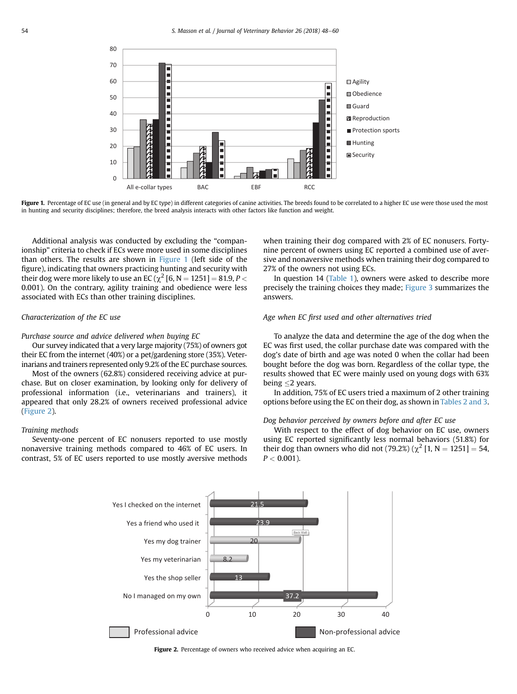

Figure 1. Percentage of EC use (in general and by EC type) in different categories of canine activities. The breeds found to be correlated to a higher EC use were those used the most in hunting and security disciplines; therefore, the breed analysis interacts with other factors like function and weight.

Additional analysis was conducted by excluding the "companionship" criteria to check if ECs were more used in some disciplines than others. The results are shown in Figure 1 (left side of the figure), indicating that owners practicing hunting and security with their dog were more likely to use an EC ( $\chi^2$  [6, N = 1251] = 81.9, P < 0.001). On the contrary, agility training and obedience were less associated with ECs than other training disciplines.

# Characterization of the EC use

#### Purchase source and advice delivered when buying EC

Our survey indicated that a very large majority (75%) of owners got their EC from the internet (40%) or a pet/gardening store (35%). Veterinarians and trainers represented only 9.2% of the EC purchase sources.

Most of the owners (62.8%) considered receiving advice at purchase. But on closer examination, by looking only for delivery of professional information (i.e., veterinarians and trainers), it appeared that only 28.2% of owners received professional advice (Figure 2).

#### Training methods

Seventy-one percent of EC nonusers reported to use mostly nonaversive training methods compared to 46% of EC users. In contrast, 5% of EC users reported to use mostly aversive methods when training their dog compared with 2% of EC nonusers. Fortynine percent of owners using EC reported a combined use of aversive and nonaversive methods when training their dog compared to 27% of the owners not using ECs.

In question 14 ([Table 1](#page-2-0)), owners were asked to describe more precisely the training choices they made; [Figure 3](#page-7-0) summarizes the answers.

# Age when EC first used and other alternatives tried

To analyze the data and determine the age of the dog when the EC was first used, the collar purchase date was compared with the dog's date of birth and age was noted 0 when the collar had been bought before the dog was born. Regardless of the collar type, the results showed that EC were mainly used on young dogs with 63% being  $\leq$ 2 years.

In addition, 75% of EC users tried a maximum of 2 other training options before using the EC on their dog, as shown in [Tables 2 and 3](#page-7-0).

#### Dog behavior perceived by owners before and after EC use

With respect to the effect of dog behavior on EC use, owners using EC reported significantly less normal behaviors (51.8%) for their dog than owners who did not (79.2%) ( $\chi^2$  [1, N = 1251] = 54,  $P < 0.001$ ).



Figure 2. Percentage of owners who received advice when acquiring an EC.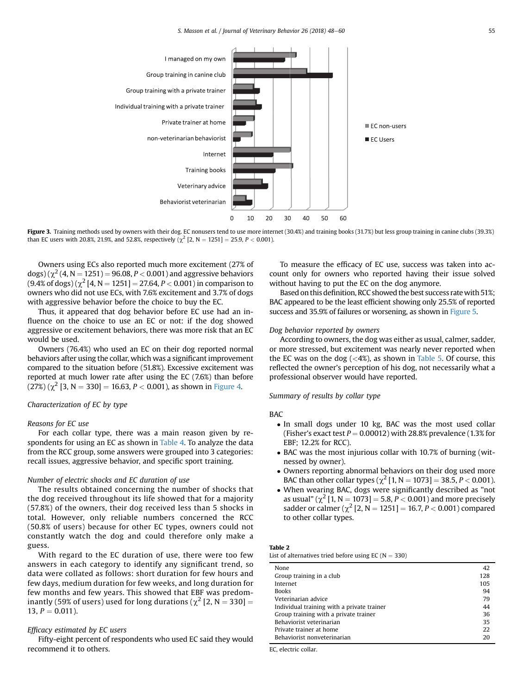<span id="page-7-0"></span>

Figure 3. Training methods used by owners with their dog. EC nonusers tend to use more internet (30.4%) and training books (31.7%) but less group training in canine clubs (39.3%) than EC users with 20.8%, 21.9%, and 52.8%, respectively  $(\chi^2 \, [2, N = 1251] = 25.9, P < 0.001)$ .

Owners using ECs also reported much more excitement (27% of  $\log s$ ) ( $\chi^2$  (4, N = 1251) = 96.08, P < 0.001) and aggressive behaviors  $(9.4\% \text{ of dogs}) (\chi^2 [4, N = 1251] = 27.64, P < 0.001)$  in comparison to owners who did not use ECs, with 7.6% excitement and 3.7% of dogs with aggressive behavior before the choice to buy the EC.

Thus, it appeared that dog behavior before EC use had an influence on the choice to use an EC or not: if the dog showed aggressive or excitement behaviors, there was more risk that an EC would be used.

Owners (76.4%) who used an EC on their dog reported normal behaviors after using the collar, which was a significant improvement compared to the situation before (51.8%). Excessive excitement was reported at much lower rate after using the EC (7.6%) than before  $(27%) (\chi^2 [3, N = 330] = 16.63, P < 0.001)$ , as shown in [Figure 4.](#page-8-0)

# Characterization of EC by type

#### Reasons for EC use

For each collar type, there was a main reason given by respondents for using an EC as shown in [Table 4](#page-9-0). To analyze the data from the RCC group, some answers were grouped into 3 categories: recall issues, aggressive behavior, and specific sport training.

#### Number of electric shocks and EC duration of use

The results obtained concerning the number of shocks that the dog received throughout its life showed that for a majority (57.8%) of the owners, their dog received less than 5 shocks in total. However, only reliable numbers concerned the RCC (50.8% of users) because for other EC types, owners could not constantly watch the dog and could therefore only make a guess.

With regard to the EC duration of use, there were too few answers in each category to identify any significant trend, so data were collated as follows: short duration for few hours and few days, medium duration for few weeks, and long duration for few months and few years. This showed that EBF was predominantly (59% of users) used for long durations ( $\chi^2$  [2, N = 330] = 13,  $P = 0.011$ ).

# Efficacy estimated by EC users

Fifty-eight percent of respondents who used EC said they would recommend it to others.

To measure the efficacy of EC use, success was taken into account only for owners who reported having their issue solved without having to put the EC on the dog anymore.

Based on this definition, RCC showed the best success ratewith 51%; BAC appeared to be the least efficient showing only 25.5% of reported success and 35.9% of failures or worsening, as shown in [Figure 5.](#page-9-0)

#### Dog behavior reported by owners

According to owners, the dog was either as usual, calmer, sadder, or more stressed, but excitement was nearly never reported when the EC was on the dog  $\left(\langle 4\% \rangle \right)$ , as shown in [Table 5.](#page-10-0) Of course, this reflected the owner's perception of his dog, not necessarily what a professional observer would have reported.

# Summary of results by collar type

#### BAC

- In small dogs under 10 kg, BAC was the most used collar (Fisher's exact test  $P = 0.00012$ ) with 28.8% prevalence (1.3% for EBF; 12.2% for RCC).
- BAC was the most injurious collar with 10.7% of burning (witnessed by owner).
- Owners reporting abnormal behaviors on their dog used more BAC than other collar types ( $\chi^2$  [1, N = 1073] = 38.5, P < 0.001).
- When wearing BAC, dogs were significantly described as "not as usual" ( $\chi^2$  [1, N = 1073] = 5.8, P < 0.001) and more precisely sadder or calmer ( $\gamma^2$  [2, N = 1251] = 16.7, P < 0.001) compared to other collar types.

# Table 2

List of alternatives tried before using  $EC (N = 330)$ 

| None                                       | 42  |
|--------------------------------------------|-----|
| Group training in a club                   | 128 |
| Internet                                   | 105 |
| <b>Books</b>                               | 94  |
| Veterinarian advice                        | 79  |
| Individual training with a private trainer | 44  |
| Group training with a private trainer      | 36  |
| Behaviorist veterinarian                   | 35  |
| Private trainer at home                    | 22  |
| Behaviorist nonveterinarian                | 20  |

EC, electric collar.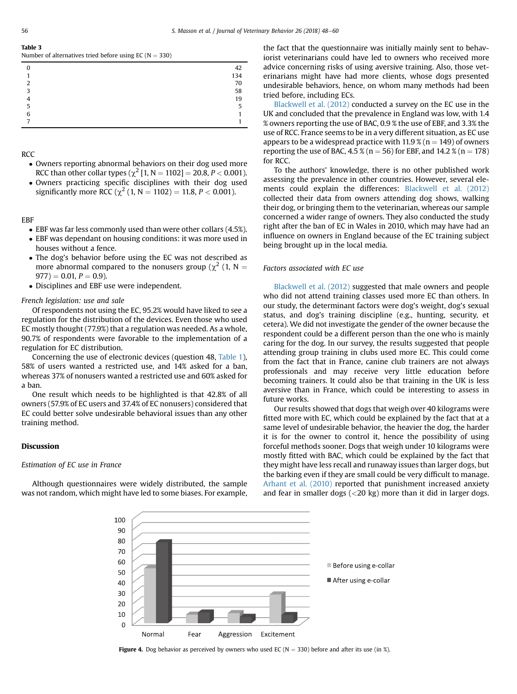# <span id="page-8-0"></span>Table 3

Number of alternatives tried before using  $EC (N = 330)$ 

| $\Omega$ | 42  |
|----------|-----|
|          | 134 |
| 2        | 70  |
| з        | 58  |
|          | 19  |
| 5        | 5   |
| 6        |     |
|          |     |

**RCC** 

- Owners reporting abnormal behaviors on their dog used more RCC than other collar types ( $\chi^2$  [1, N = 1102] = 20.8, P < 0.001).
- Owners practicing specific disciplines with their dog used significantly more RCC ( $\chi^2$  (1, N = 1102) = 11.8, P < 0.001).

#### EBF

- EBF was far less commonly used than were other collars (4.5%).
- EBF was dependant on housing conditions: it was more used in houses without a fence.
- The dog's behavior before using the EC was not described as more abnormal compared to the nonusers group ( $\chi^2$  (1, N =  $977$ ) = 0.01,  $P = 0.9$ ).
- Disciplines and EBF use were independent.

### French legislation: use and sale

Of respondents not using the EC, 95.2% would have liked to see a regulation for the distribution of the devices. Even those who used EC mostly thought (77.9%) that a regulation was needed. As a whole, 90.7% of respondents were favorable to the implementation of a regulation for EC distribution.

Concerning the use of electronic devices (question 48, [Table 1\)](#page-2-0), 58% of users wanted a restricted use, and 14% asked for a ban, whereas 37% of nonusers wanted a restricted use and 60% asked for a ban.

One result which needs to be highlighted is that 42.8% of all owners (57.9% of EC users and 37.4% of EC nonusers) considered that EC could better solve undesirable behavioral issues than any other training method.

#### Discussion

#### Estimation of EC use in France

Although questionnaires were widely distributed, the sample was not random, which might have led to some biases. For example,

the fact that the questionnaire was initially mainly sent to behaviorist veterinarians could have led to owners who received more advice concerning risks of using aversive training. Also, those veterinarians might have had more clients, whose dogs presented undesirable behaviors, hence, on whom many methods had been tried before, including ECs.

[Blackwell et al. \(2012\)](#page-11-0) conducted a survey on the EC use in the UK and concluded that the prevalence in England was low, with 1.4 % owners reporting the use of BAC, 0.9 % the use of EBF, and 3.3% the use of RCC. France seems to be in a very different situation, as EC use appears to be a widespread practice with  $11.9\%$  (n = 149) of owners reporting the use of BAC, 4.5 % (n = 56) for EBF, and 14.2 % (n = 178) for RCC.

To the authors' knowledge, there is no other published work assessing the prevalence in other countries. However, several elements could explain the differences: [Blackwell et al. \(2012\)](#page-11-0) collected their data from owners attending dog shows, walking their dog, or bringing them to the veterinarian, whereas our sample concerned a wider range of owners. They also conducted the study right after the ban of EC in Wales in 2010, which may have had an influence on owners in England because of the EC training subject being brought up in the local media.

#### Factors associated with EC use

[Blackwell et al. \(2012\)](#page-11-0) suggested that male owners and people who did not attend training classes used more EC than others. In our study, the determinant factors were dog's weight, dog's sexual status, and dog's training discipline (e.g., hunting, security, et cetera). We did not investigate the gender of the owner because the respondent could be a different person than the one who is mainly caring for the dog. In our survey, the results suggested that people attending group training in clubs used more EC. This could come from the fact that in France, canine club trainers are not always professionals and may receive very little education before becoming trainers. It could also be that training in the UK is less aversive than in France, which could be interesting to assess in future works.

Our results showed that dogs that weigh over 40 kilograms were fitted more with EC, which could be explained by the fact that at a same level of undesirable behavior, the heavier the dog, the harder it is for the owner to control it, hence the possibility of using forceful methods sooner. Dogs that weigh under 10 kilograms were mostly fitted with BAC, which could be explained by the fact that they might have less recall and runaway issues than larger dogs, but the barking even if they are small could be very difficult to manage. [Arhant et al. \(2010\)](#page-11-0) reported that punishment increased anxiety and fear in smaller dogs (<20 kg) more than it did in larger dogs.



Figure 4. Dog behavior as perceived by owners who used EC ( $N = 330$ ) before and after its use (in %).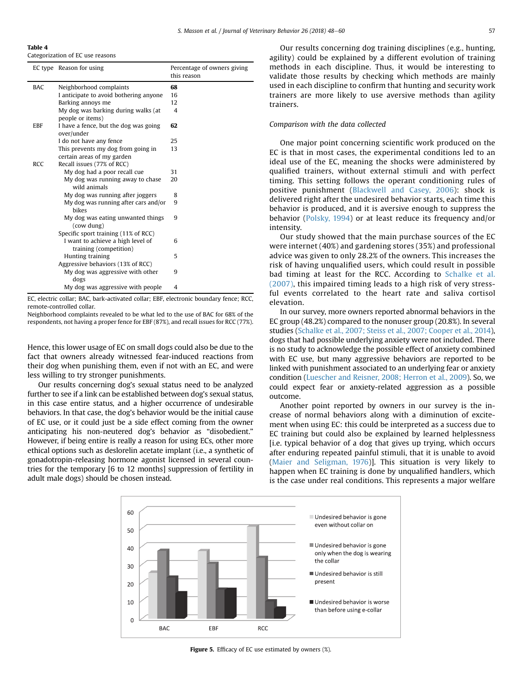<span id="page-9-0"></span>

|--|--|

Categorization of EC use reasons

|            | EC type Reason for using                                         | Percentage of owners giving<br>this reason |
|------------|------------------------------------------------------------------|--------------------------------------------|
| <b>BAC</b> | Neighborhood complaints                                          | 68                                         |
|            | I anticipate to avoid bothering anyone                           | 16                                         |
|            | Barking annoys me                                                | 12                                         |
|            | My dog was barking during walks (at<br>people or items)          | $\overline{4}$                             |
| <b>EBF</b> | I have a fence, but the dog was going<br>over/under              | 62                                         |
|            | I do not have any fence                                          | 25                                         |
|            | This prevents my dog from going in<br>certain areas of my garden | 13                                         |
| <b>RCC</b> | Recall issues (77% of RCC)                                       |                                            |
|            | My dog had a poor recall cue                                     | 31                                         |
|            | My dog was running away to chase<br>wild animals                 | 20                                         |
|            | My dog was running after joggers                                 | 8                                          |
|            | My dog was running after cars and/or<br>bikes                    | 9                                          |
|            | My dog was eating unwanted things<br>(cow dung)                  | 9                                          |
|            | Specific sport training (11% of RCC)                             |                                            |
|            | I want to achieve a high level of<br>training (competition)      | 6                                          |
|            | Hunting training                                                 | 5                                          |
|            | Aggressive behaviors (13% of RCC)                                |                                            |
|            | My dog was aggressive with other<br>dogs                         | 9                                          |
|            | My dog was aggressive with people                                | 4                                          |

EC, electric collar; BAC, bark-activated collar; EBF, electronic boundary fence; RCC, remote-controlled collar.

Neighborhood complaints revealed to be what led to the use of BAC for 68% of the respondents, not having a proper fence for EBF (87%), and recall issues for RCC (77%).

Hence, this lower usage of EC on small dogs could also be due to the fact that owners already witnessed fear-induced reactions from their dog when punishing them, even if not with an EC, and were less willing to try stronger punishments.

Our results concerning dog's sexual status need to be analyzed further to see if a link can be established between dog's sexual status, in this case entire status, and a higher occurrence of undesirable behaviors. In that case, the dog's behavior would be the initial cause of EC use, or it could just be a side effect coming from the owner anticipating his non-neutered dog's behavior as "disobedient." However, if being entire is really a reason for using ECs, other more ethical options such as deslorelin acetate implant (i.e., a synthetic of gonadotropin-releasing hormone agonist licensed in several countries for the temporary [6 to 12 months] suppression of fertility in adult male dogs) should be chosen instead.

Our results concerning dog training disciplines (e.g., hunting, agility) could be explained by a different evolution of training methods in each discipline. Thus, it would be interesting to validate those results by checking which methods are mainly used in each discipline to confirm that hunting and security work trainers are more likely to use aversive methods than agility trainers.

### Comparison with the data collected

One major point concerning scientific work produced on the EC is that in most cases, the experimental conditions led to an ideal use of the EC, meaning the shocks were administered by qualified trainers, without external stimuli and with perfect timing. This setting follows the operant conditioning rules of positive punishment ([Blackwell and Casey, 2006\)](#page-11-0): shock is delivered right after the undesired behavior starts, each time this behavior is produced, and it is aversive enough to suppress the behavior [\(Polsky, 1994](#page-11-0)) or at least reduce its frequency and/or intensity.

Our study showed that the main purchase sources of the EC were internet (40%) and gardening stores (35%) and professional advice was given to only 28.2% of the owners. This increases the risk of having unqualified users, which could result in possible bad timing at least for the RCC. According to [Schalke et al.](#page-11-0) [\(2007\),](#page-11-0) this impaired timing leads to a high risk of very stressful events correlated to the heart rate and saliva cortisol elevation.

In our survey, more owners reported abnormal behaviors in the EC group (48.2%) compared to the nonuser group (20.8%). In several studies [\(Schalke et al., 2007; Steiss et al., 2007; Cooper et al., 2014](#page-11-0)), dogs that had possible underlying anxiety were not included. There is no study to acknowledge the possible effect of anxiety combined with EC use, but many aggressive behaviors are reported to be linked with punishment associated to an underlying fear or anxiety condition ([Luescher and Reisner, 2008; Herron et al., 2009](#page-11-0)). So, we could expect fear or anxiety-related aggression as a possible outcome.

Another point reported by owners in our survey is the increase of normal behaviors along with a diminution of excitement when using EC: this could be interpreted as a success due to EC training but could also be explained by learned helplessness [i.e. typical behavior of a dog that gives up trying, which occurs after enduring repeated painful stimuli, that it is unable to avoid [\(Maier and Seligman, 1976\)](#page-11-0)]. This situation is very likely to happen when EC training is done by unqualified handlers, which is the case under real conditions. This represents a major welfare



Figure 5. Efficacy of EC use estimated by owners (%).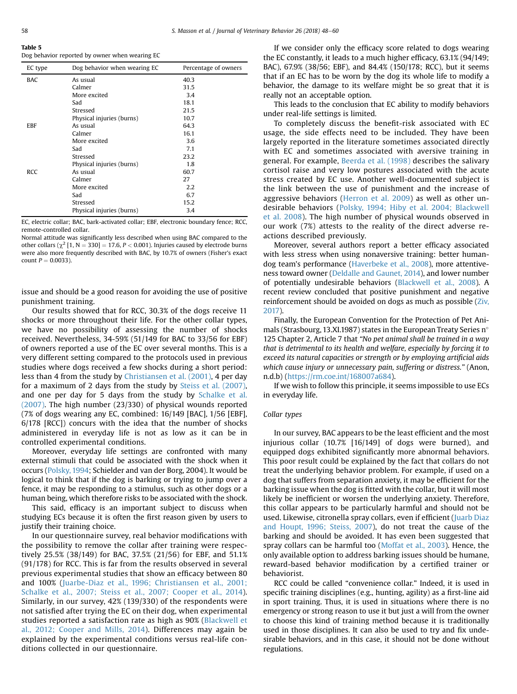# <span id="page-10-0"></span>Table 5

| Dog behavior reported by owner when wearing EC |  |  |  |
|------------------------------------------------|--|--|--|
|                                                |  |  |  |

| EC type    | Dog behavior when wearing EC | Percentage of owners |
|------------|------------------------------|----------------------|
| BAC        | As usual                     | 40.3                 |
|            | Calmer                       | 31.5                 |
|            | More excited                 | 3.4                  |
|            | Sad                          | 18.1                 |
|            | Stressed                     | 21.5                 |
|            | Physical injuries (burns)    | 10.7                 |
| EBF        | As usual                     | 64.3                 |
|            | Calmer                       | 16.1                 |
|            | More excited                 | 3.6                  |
|            | Sad                          | 7.1                  |
|            | Stressed                     | 23.2                 |
|            | Physical injuries (burns)    | 1.8                  |
| <b>RCC</b> | As usual                     | 60.7                 |
|            | Calmer                       | 27                   |
|            | More excited                 | 2.2                  |
|            | Sad                          | 6.7                  |
|            | Stressed                     | 15.2                 |
|            | Physical injuries (burns)    | 3.4                  |

EC, electric collar; BAC, bark-activated collar; EBF, electronic boundary fence; RCC, remote-controlled collar.

Normal attitude was significantly less described when using BAC compared to the other collars ( $\chi^2$  [1, N = 330] = 17.6, P < 0.001). Injuries caused by electrode burns were also more frequently described with BAC, by 10.7% of owners (Fisher's exact count  $P = 0.0033$ ).

issue and should be a good reason for avoiding the use of positive punishment training.

Our results showed that for RCC, 30.3% of the dogs receive 11 shocks or more throughout their life. For the other collar types, we have no possibility of assessing the number of shocks received. Nevertheless, 34-59% (51/149 for BAC to 33/56 for EBF) of owners reported a use of the EC over several months. This is a very different setting compared to the protocols used in previous studies where dogs received a few shocks during a short period: less than 4 from the study by [Christiansen et al. \(2001\)](#page-11-0), 4 per day for a maximum of 2 days from the study by [Steiss et al. \(2007\),](#page-11-0) and one per day for 5 days from the study by [Schalke et al.](#page-11-0) [\(2007\).](#page-11-0) The high number (23/330) of physical wounds reported (7% of dogs wearing any EC, combined: 16/149 [BAC], 1/56 [EBF], 6/178 [RCC]) concurs with the idea that the number of shocks administered in everyday life is not as low as it can be in controlled experimental conditions.

Moreover, everyday life settings are confronted with many external stimuli that could be associated with the shock when it occurs [\(Polsky, 1994;](#page-11-0) Schielder and van der Borg, 2004). It would be logical to think that if the dog is barking or trying to jump over a fence, it may be responding to a stimulus, such as other dogs or a human being, which therefore risks to be associated with the shock.

This said, efficacy is an important subject to discuss when studying ECs because it is often the first reason given by users to justify their training choice.

In our questionnaire survey, real behavior modifications with the possibility to remove the collar after training were respectively 25.5% (38/149) for BAC, 37.5% (21/56) for EBF, and 51.1% (91/178) for RCC. This is far from the results observed in several previous experimental studies that show an efficacy between 80 and 100% ([Juarbe-Diaz et al., 1996; Christiansen et al., 2001;](#page-11-0) [Schalke et al., 2007; Steiss et al., 2007; Cooper et al., 2014\)](#page-11-0). Similarly, in our survey, 42% (139/330) of the respondents were not satisfied after trying the EC on their dog, when experimental studies reported a satisfaction rate as high as 90% ([Blackwell et](#page-11-0) [al., 2012; Cooper and Mills, 2014\)](#page-11-0). Differences may again be explained by the experimental conditions versus real-life conditions collected in our questionnaire.

If we consider only the efficacy score related to dogs wearing the EC constantly, it leads to a much higher efficacy, 63.1% (94/149; BAC), 67.9% (38/56; EBF), and 84.4% (150/178; RCC), but it seems that if an EC has to be worn by the dog its whole life to modify a behavior, the damage to its welfare might be so great that it is really not an acceptable option.

This leads to the conclusion that EC ability to modify behaviors under real-life settings is limited.

To completely discuss the benefit-risk associated with EC usage, the side effects need to be included. They have been largely reported in the literature sometimes associated directly with EC and sometimes associated with aversive training in general. For example, [Beerda et al. \(1998\)](#page-11-0) describes the salivary cortisol raise and very low postures associated with the acute stress created by EC use. Another well-documented subject is the link between the use of punishment and the increase of aggressive behaviors ([Herron et al. 2009](#page-11-0)) as well as other undesirable behaviors [\(Polsky, 1994; Hiby et al. 2004; Blackwell](#page-11-0) [et al. 2008\)](#page-11-0). The high number of physical wounds observed in our work (7%) attests to the reality of the direct adverse reactions described previously.

Moreover, several authors report a better efficacy associated with less stress when using nonaversive training: better humandog team's performance [\(Haverbeke et al., 2008\)](#page-11-0), more attentiveness toward owner [\(Deldalle and Gaunet, 2014\)](#page-11-0), and lower number of potentially undesirable behaviors ([Blackwell et al., 2008](#page-11-0)). A recent review concluded that positive punishment and negative reinforcement should be avoided on dogs as much as possible [\(Ziv,](#page-11-0) [2017](#page-11-0)).

Finally, the European Convention for the Protection of Pet Animals (Strasbourg, 13.XI.1987) states in the European Treaty Series  $\mathsf{n}^\circ$ 125 Chapter 2, Article 7 that "No pet animal shall be trained in a way that is detrimental to its health and welfare, especially by forcing it to exceed its natural capacities or strength or by employing artificial aids which cause injury or unnecessary pain, suffering or distress." (Anon, n.d.b) (<https://rm.coe.int/168007a684>).

If we wish to follow this principle, it seems impossible to use ECs in everyday life.

#### Collar types

In our survey, BAC appears to be the least efficient and the most injurious collar (10.7% [16/149] of dogs were burned), and equipped dogs exhibited significantly more abnormal behaviors. This poor result could be explained by the fact that collars do not treat the underlying behavior problem. For example, if used on a dog that suffers from separation anxiety, it may be efficient for the barking issue when the dog is fitted with the collar, but it will most likely be inefficient or worsen the underlying anxiety. Therefore, this collar appears to be particularly harmful and should not be used. Likewise, citronella spray collars, even if efficient [\(Juarb Diaz](#page-11-0) [and Houpt, 1996; Steiss, 2007](#page-11-0)), do not treat the cause of the barking and should be avoided. It has even been suggested that spray collars can be harmful too ([Moffat et al., 2003](#page-11-0)). Hence, the only available option to address barking issues should be humane, reward-based behavior modification by a certified trainer or behaviorist.

RCC could be called "convenience collar." Indeed, it is used in specific training disciplines (e.g., hunting, agility) as a first-line aid in sport training. Thus, it is used in situations where there is no emergency or strong reason to use it but just a will from the owner to choose this kind of training method because it is traditionally used in those disciplines. It can also be used to try and fix undesirable behaviors, and in this case, it should not be done without regulations.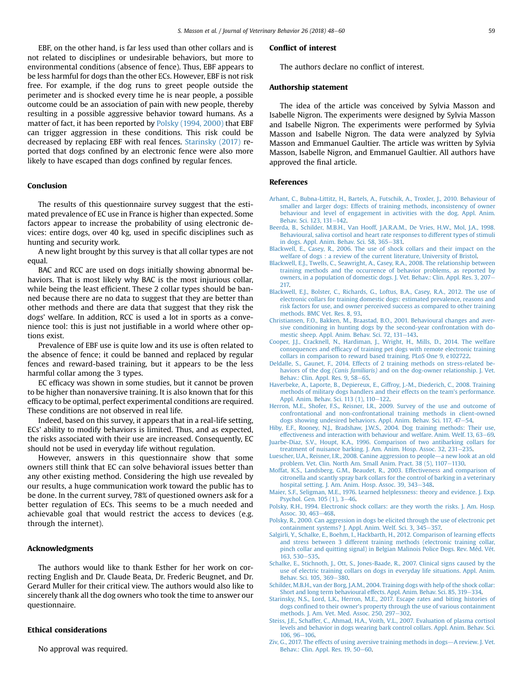<span id="page-11-0"></span>EBF, on the other hand, is far less used than other collars and is not related to disciplines or undesirable behaviors, but more to environmental conditions (absence of fence). Thus, EBF appears to be less harmful for dogs than the other ECs. However, EBF is not risk free. For example, if the dog runs to greet people outside the perimeter and is shocked every time he is near people, a possible outcome could be an association of pain with new people, thereby resulting in a possible aggressive behavior toward humans. As a matter of fact, it has been reported by Polsky (1994, 2000) that EBF can trigger aggression in these conditions. This risk could be decreased by replacing EBF with real fences. Starinsky (2017) reported that dogs confined by an electronic fence were also more likely to have escaped than dogs confined by regular fences.

### Conclusion

The results of this questionnaire survey suggest that the estimated prevalence of EC use in France is higher than expected. Some factors appear to increase the probability of using electronic devices: entire dogs, over 40 kg, used in specific disciplines such as hunting and security work.

A new light brought by this survey is that all collar types are not equal.

BAC and RCC are used on dogs initially showing abnormal behaviors. That is most likely why BAC is the most injurious collar, while being the least efficient. These 2 collar types should be banned because there are no data to suggest that they are better than other methods and there are data that suggest that they risk the dogs' welfare. In addition, RCC is used a lot in sports as a convenience tool: this is just not justifiable in a world where other options exist.

Prevalence of EBF use is quite low and its use is often related to the absence of fence; it could be banned and replaced by regular fences and reward-based training, but it appears to be the less harmful collar among the 3 types.

EC efficacy was shown in some studies, but it cannot be proven to be higher than nonaversive training. It is also known that for this efficacy to be optimal, perfect experimental conditions are required. These conditions are not observed in real life.

Indeed, based on this survey, it appears that in a real-life setting, ECs' ability to modify behaviors is limited. Thus, and as expected, the risks associated with their use are increased. Consequently, EC should not be used in everyday life without regulation.

However, answers in this questionnaire show that some owners still think that EC can solve behavioral issues better than any other existing method. Considering the high use revealed by our results, a huge communication work toward the public has to be done. In the current survey, 78% of questioned owners ask for a better regulation of ECs. This seems to be a much needed and achievable goal that would restrict the access to devices (e.g. through the internet).

# Acknowledgments

The authors would like to thank Esther for her work on correcting English and Dr. Claude Beata, Dr. Frederic Beugnet, and Dr. Gerard Muller for their critical view. The authors would also like to sincerely thank all the dog owners who took the time to answer our questionnaire.

#### Ethical considerations

No approval was required.

#### Conflict of interest

The authors declare no conflict of interest.

#### Authorship statement

The idea of the article was conceived by Sylvia Masson and Isabelle Nigron. The experiments were designed by Sylvia Masson and Isabelle Nigron. The experiments were performed by Sylvia Masson and Isabelle Nigron. The data were analyzed by Sylvia Masson and Emmanuel Gaultier. The article was written by Sylvia Masson, Isabelle Nigron, and Emmanuel Gaultier. All authors have approved the final article.

#### References

- [Arhant, C., Bubna-Littitz, H., Bartels, A., Futschik, A., Troxler, J., 2010. Behaviour of](http://refhub.elsevier.com/S1558-7878(17)30135-1/sref1) [smaller and larger dogs: Effects of training methods, inconsistency of owner](http://refhub.elsevier.com/S1558-7878(17)30135-1/sref1) [behaviour and level of engagement in activities with the dog. Appl. Anim.](http://refhub.elsevier.com/S1558-7878(17)30135-1/sref1) [Behav. Sci. 123, 131](http://refhub.elsevier.com/S1558-7878(17)30135-1/sref1)-[142.](http://refhub.elsevier.com/S1558-7878(17)30135-1/sref1)
- [Beerda, B., Schilder, M.B.H., Van Hooff, J.A.R.A.M., De Vries, H.W., Mol, J.A., 1998.](http://refhub.elsevier.com/S1558-7878(17)30135-1/sref2) [Behavioural, saliva cortisol and heart rate responses to different types of stimuli](http://refhub.elsevier.com/S1558-7878(17)30135-1/sref2) [in dogs. Appl. Anim. Behav. Sci. 58, 365](http://refhub.elsevier.com/S1558-7878(17)30135-1/sref2)-[381.](http://refhub.elsevier.com/S1558-7878(17)30135-1/sref2)
- [Blackwell, E., Casey, R., 2006. The use of shock collars and their impact on the](http://refhub.elsevier.com/S1558-7878(17)30135-1/sref28) [welfare of dogs : a review of the current literature, University of Bristol](http://refhub.elsevier.com/S1558-7878(17)30135-1/sref28).
- [Blackwell, E.J., Twells, C., Seawright, A., Casey, R.A., 2008. The relationship between](http://refhub.elsevier.com/S1558-7878(17)30135-1/sref3) [training methods and the occurrence of behavior problems, as reported by](http://refhub.elsevier.com/S1558-7878(17)30135-1/sref3) [owners, in a population of domestic dogs. J. Vet. Behav.: Clin. Appl. Res. 3, 207](http://refhub.elsevier.com/S1558-7878(17)30135-1/sref3)-[217.](http://refhub.elsevier.com/S1558-7878(17)30135-1/sref3)
- [Blackwell, E.J., Bolster, C., Richards, G., Loftus, B.A., Casey, R.A., 2012. The use of](http://refhub.elsevier.com/S1558-7878(17)30135-1/sref4) [electronic collars for training domestic dogs: estimated prevalence, reasons and](http://refhub.elsevier.com/S1558-7878(17)30135-1/sref4) [risk factors for use, and owner perceived success as compared to other training](http://refhub.elsevier.com/S1558-7878(17)30135-1/sref4) [methods. BMC Vet. Res. 8, 93.](http://refhub.elsevier.com/S1558-7878(17)30135-1/sref4)
- [Christiansen, F.O., Bakken, M., Braastad, B.O., 2001. Behavioural changes and aver](http://refhub.elsevier.com/S1558-7878(17)30135-1/sref5)[sive conditioning in hunting dogs by the second-year confrontation with do](http://refhub.elsevier.com/S1558-7878(17)30135-1/sref5)[mestic sheep. Appl. Anim. Behav. Sci. 72, 131](http://refhub.elsevier.com/S1558-7878(17)30135-1/sref5)-[143](http://refhub.elsevier.com/S1558-7878(17)30135-1/sref5).
- [Cooper, J.J., Cracknell, N., Hardiman, J., Wright, H., Mills, D., 2014. The welfare](http://refhub.elsevier.com/S1558-7878(17)30135-1/sref6) consequences and effi[cacy of training pet dogs with remote electronic training](http://refhub.elsevier.com/S1558-7878(17)30135-1/sref6) [collars in comparison to reward based training. PLoS One 9, e102722](http://refhub.elsevier.com/S1558-7878(17)30135-1/sref6).
- [Deldalle, S., Gaunet, F., 2014. Effects of 2 training methods on stress-related be](http://refhub.elsevier.com/S1558-7878(17)30135-1/sref7)haviors of the dog (Canis familiaris) [and on the dog-owner relationship. J. Vet.](http://refhub.elsevier.com/S1558-7878(17)30135-1/sref7) [Behav.: Clin. Appl. Res. 9, 58](http://refhub.elsevier.com/S1558-7878(17)30135-1/sref7)-[65](http://refhub.elsevier.com/S1558-7878(17)30135-1/sref7).
- [Haverbeke, A., Laporte, B., Depiereux, E., Giffroy, J.-M., Diederich, C., 2008. Training](http://refhub.elsevier.com/S1558-7878(17)30135-1/sref8) [methods of military dogs handlers and their effects on the team](http://refhub.elsevier.com/S1558-7878(17)30135-1/sref8)'s performance. [Appl. Anim. Behav. Sci. 113 \(1\), 110](http://refhub.elsevier.com/S1558-7878(17)30135-1/sref8)-[122](http://refhub.elsevier.com/S1558-7878(17)30135-1/sref8).
- [Herron, M.E., Shofer, F.S., Reisner, I.R., 2009. Survey of the use and outcome of](http://refhub.elsevier.com/S1558-7878(17)30135-1/sref9) [confrontational and non-confrontational training methods in client-owned](http://refhub.elsevier.com/S1558-7878(17)30135-1/sref9) [dogs showing undesired behaviors. Appl. Anim. Behav. Sci. 117, 47](http://refhub.elsevier.com/S1558-7878(17)30135-1/sref9)-[54.](http://refhub.elsevier.com/S1558-7878(17)30135-1/sref9)
- [Hiby, E.F., Rooney, N.J., Bradshaw, J.W.S., 2004. Dog training methods: Their use,](http://refhub.elsevier.com/S1558-7878(17)30135-1/sref10) [effectiveness and interaction with behaviour and welfare. Anim. Welf. 13, 63](http://refhub.elsevier.com/S1558-7878(17)30135-1/sref10)-[69](http://refhub.elsevier.com/S1558-7878(17)30135-1/sref10).
- [Juarbe-Diaz, S.V., Houpt, K.A., 1996. Comparison of two antibarking collars for](http://refhub.elsevier.com/S1558-7878(17)30135-1/sref11) [treatment of nuisance barking. J. Am. Anim. Hosp. Assoc. 32, 231](http://refhub.elsevier.com/S1558-7878(17)30135-1/sref11)-[235.](http://refhub.elsevier.com/S1558-7878(17)30135-1/sref11)
- [Luescher, U.A., Reisner, I.R., 2008. Canine aggression to people](http://refhub.elsevier.com/S1558-7878(17)30135-1/sref12)-[a new look at an old](http://refhub.elsevier.com/S1558-7878(17)30135-1/sref12) problem. Vet. Clin. North Am. Small Anim. Pract.  $38$  (5),  $1107-1130$ .
- [Moffat, K.S., Landsberg, G.M., Beaudet, R., 2003. Effectiveness and comparison of](http://refhub.elsevier.com/S1558-7878(17)30135-1/sref13) [citronella and scantly spray bark collars for the control of barking in a veterinary](http://refhub.elsevier.com/S1558-7878(17)30135-1/sref13) [hospital setting. J. Am. Anim. Hosp. Assoc. 39, 343](http://refhub.elsevier.com/S1558-7878(17)30135-1/sref13)-[348](http://refhub.elsevier.com/S1558-7878(17)30135-1/sref13).
- [Maier, S.F., Seligman, M.E., 1976. Learned helplessness: theory and evidence. J. Exp.](http://refhub.elsevier.com/S1558-7878(17)30135-1/sref14) [Psychol. Gen. 105 \(1\), 3](http://refhub.elsevier.com/S1558-7878(17)30135-1/sref14)-[46](http://refhub.elsevier.com/S1558-7878(17)30135-1/sref14).
- [Polsky, R.H., 1994. Electronic shock collars: are they worth the risks. J. Am. Hosp.](http://refhub.elsevier.com/S1558-7878(17)30135-1/sref15) [Assoc. 30, 463](http://refhub.elsevier.com/S1558-7878(17)30135-1/sref15)-[468](http://refhub.elsevier.com/S1558-7878(17)30135-1/sref15).
- [Polsky, R., 2000. Can aggression in dogs be elicited through the use of electronic pet](http://refhub.elsevier.com/S1558-7878(17)30135-1/sref16) [containment systems? J. Appl. Anim. Welf. Sci. 3, 345](http://refhub.elsevier.com/S1558-7878(17)30135-1/sref16)-[357.](http://refhub.elsevier.com/S1558-7878(17)30135-1/sref16)
- [Salgirli, Y., Schalke, E., Boehm, I., Hackbarth, H., 2012. Comparison of learning effects](http://refhub.elsevier.com/S1558-7878(17)30135-1/sref17) [and stress between 3 different training methods \(electronic training collar,](http://refhub.elsevier.com/S1558-7878(17)30135-1/sref17) [pinch collar and quitting signal\) in Belgian Malinois Police Dogs. Rev. Méd. Vét.](http://refhub.elsevier.com/S1558-7878(17)30135-1/sref17) [163, 530](http://refhub.elsevier.com/S1558-7878(17)30135-1/sref17)-[535.](http://refhub.elsevier.com/S1558-7878(17)30135-1/sref17)
- [Schalke, E., Stichnoth, J., Ott, S., Jones-Baade, R., 2007. Clinical signs caused by the](http://refhub.elsevier.com/S1558-7878(17)30135-1/sref18) [use of electric training collars on dogs in everyday life situations. Appl. Anim.](http://refhub.elsevier.com/S1558-7878(17)30135-1/sref18) [Behav. Sci. 105, 369](http://refhub.elsevier.com/S1558-7878(17)30135-1/sref18)-[380](http://refhub.elsevier.com/S1558-7878(17)30135-1/sref18).
- [Schilder, M.B.H., van der Borg, J.A.M., 2004. Training dogs with help of the shock collar:](http://refhub.elsevier.com/S1558-7878(17)30135-1/sref19) [Short and long term behavioural effects. Appl. Anim. Behav. Sci. 85, 319](http://refhub.elsevier.com/S1558-7878(17)30135-1/sref19)-[334.](http://refhub.elsevier.com/S1558-7878(17)30135-1/sref19)
- [Starinsky, N.S., Lord, L.K., Herron, M.E., 2017. Escape rates and biting histories of](http://refhub.elsevier.com/S1558-7878(17)30135-1/sref20) dogs confined to their owner'[s property through the use of various containment](http://refhub.elsevier.com/S1558-7878(17)30135-1/sref20) [methods. J. Am. Vet. Med. Assoc. 250, 297](http://refhub.elsevier.com/S1558-7878(17)30135-1/sref20)-[302.](http://refhub.elsevier.com/S1558-7878(17)30135-1/sref20)
- [Steiss, J.E., Schaffer, C., Ahmad, H.A., Voith, V.L., 2007. Evaluation of plasma cortisol](http://refhub.elsevier.com/S1558-7878(17)30135-1/sref21) [levels and behavior in dogs wearing bark control collars. Appl. Anim. Behav. Sci.](http://refhub.elsevier.com/S1558-7878(17)30135-1/sref21) [106, 96](http://refhub.elsevier.com/S1558-7878(17)30135-1/sref21)-[106](http://refhub.elsevier.com/S1558-7878(17)30135-1/sref21).
- [Ziv, G., 2017. The effects of using aversive training methods in dogs](http://refhub.elsevier.com/S1558-7878(17)30135-1/sref22)-[A review. J. Vet.](http://refhub.elsevier.com/S1558-7878(17)30135-1/sref22) [Behav.: Clin. Appl. Res. 19, 50](http://refhub.elsevier.com/S1558-7878(17)30135-1/sref22)-[60](http://refhub.elsevier.com/S1558-7878(17)30135-1/sref22).